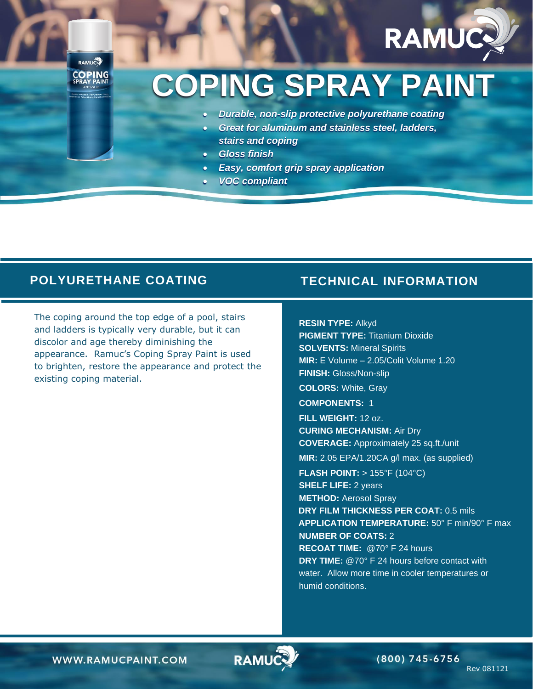

## **COPING SPRAY PAINT**

- *Durable, non-slip protective polyurethane coating*
- *Great for aluminum and stainless steel, ladders, stairs and coping*
- *Gloss finish*
- *Easy, comfort grip spray application*
- *VOC compliant*

## **POLYURETHANE COATING TECHNICAL INFORMATION**

RAMUCO COPING

The coping around the top edge of a pool, stairs and ladders is typically very durable, but it can discolor and age thereby diminishing the appearance. Ramuc's Coping Spray Paint is used to brighten, restore the appearance and protect the existing coping material.

**RESIN TYPE:** Alkyd

**PIGMENT TYPE:** Titanium Dioxide **SOLVENTS:** Mineral Spirits **MIR:** E Volume – 2.05/Colit Volume 1.20 **FINISH:** Gloss/Non-slip

**COLORS:** White, Gray

**COMPONENTS:** 1

**FILL WEIGHT:** 12 oz. **CURING MECHANISM:** Air Dry **COVERAGE:** Approximately 25 sq.ft./unit **MIR:** 2.05 EPA/1.20CA g/l max. (as supplied)

**FLASH POINT:** > 155°F (104°C)

**SHELF LIFE:** 2 years

**METHOD:** Aerosol Spray **DRY FILM THICKNESS PER COAT:** 0.5 mils **APPLICATION TEMPERATURE:** 50° F min/90° F max **NUMBER OF COATS:** 2 **RECOAT TIME:** @70° F 24 hours

**DRY TIME:** @70° F 24 hours before contact with water. Allow more time in cooler temperatures or humid conditions.